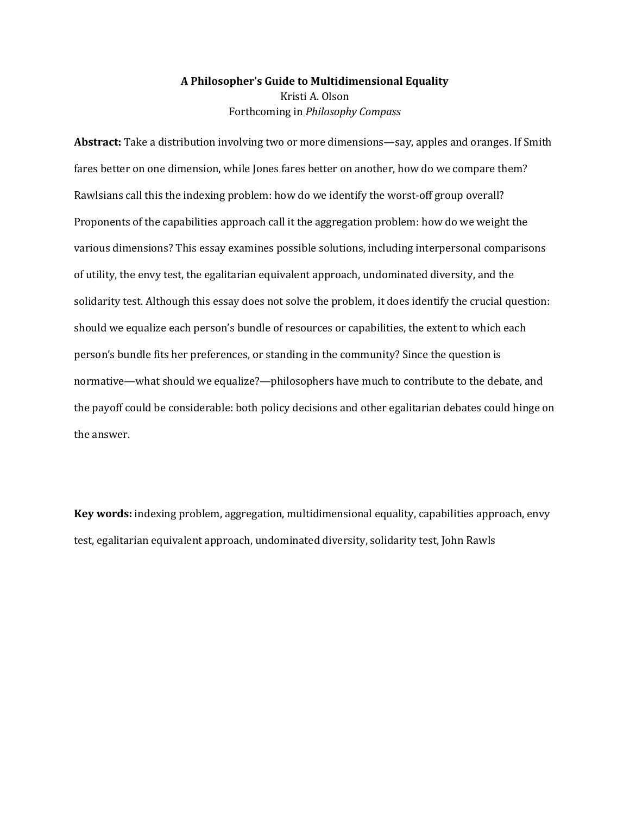# **A Philosopher's Guide to Multidimensional Equality**

Kristi A. Olson Forthcoming in *Philosophy Compass*

**Abstract:** Take a distribution involving two or more dimensions—say, apples and oranges. If Smith fares better on one dimension, while Jones fares better on another, how do we compare them? Rawlsians call this the indexing problem: how do we identify the worst-off group overall? Proponents of the capabilities approach call it the aggregation problem: how do we weight the various dimensions? This essay examines possible solutions, including interpersonal comparisons of utility, the envy test, the egalitarian equivalent approach, undominated diversity, and the solidarity test. Although this essay does not solve the problem, it does identify the crucial question: should we equalize each person's bundle of resources or capabilities, the extent to which each person's bundle fits her preferences, or standing in the community? Since the question is normative—what should we equalize?—philosophers have much to contribute to the debate, and the payoff could be considerable: both policy decisions and other egalitarian debates could hinge on the answer.

**Key words:** indexing problem, aggregation, multidimensional equality, capabilities approach, envy test, egalitarian equivalent approach, undominated diversity, solidarity test, John Rawls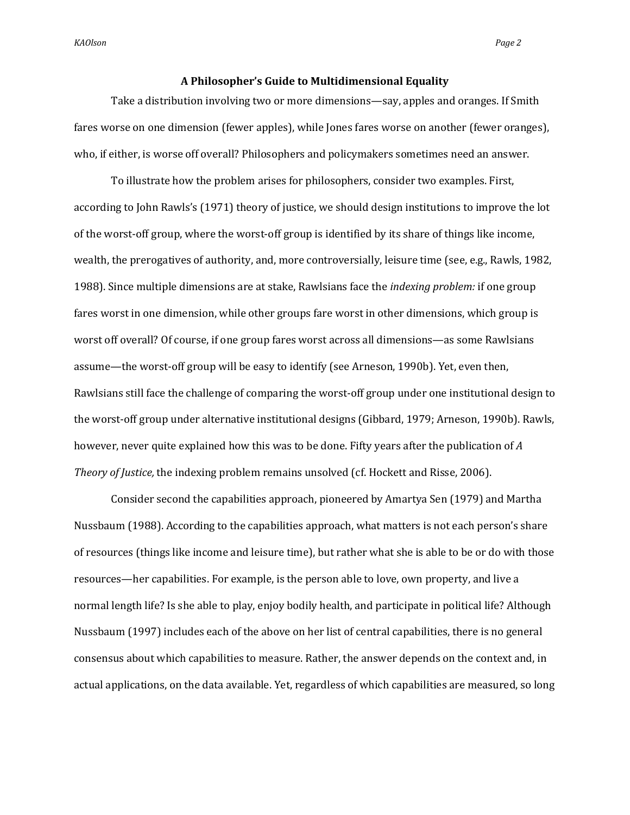#### **A Philosopher's Guide to Multidimensional Equality**

Take a distribution involving two or more dimensions—say, apples and oranges. If Smith fares worse on one dimension (fewer apples), while Jones fares worse on another (fewer oranges), who, if either, is worse off overall? Philosophers and policymakers sometimes need an answer.

To illustrate how the problem arises for philosophers, consider two examples. First, according to John Rawls's (1971) theory of justice, we should design institutions to improve the lot of the worst-off group, where the worst-off group is identified by its share of things like income, wealth, the prerogatives of authority, and, more controversially, leisure time (see, e.g., Rawls, 1982, 1988). Since multiple dimensions are at stake, Rawlsians face the *indexing problem:* if one group fares worst in one dimension, while other groups fare worst in other dimensions, which group is worst off overall? Of course, if one group fares worst across all dimensions—as some Rawlsians assume—the worst-off group will be easy to identify (see Arneson, 1990b). Yet, even then, Rawlsians still face the challenge of comparing the worst-off group under one institutional design to the worst-off group under alternative institutional designs (Gibbard, 1979; Arneson, 1990b). Rawls, however, never quite explained how this was to be done. Fifty years after the publication of *A Theory of Justice,* the indexing problem remains unsolved (cf. Hockett and Risse, 2006).

Consider second the capabilities approach, pioneered by Amartya Sen (1979) and Martha Nussbaum (1988). According to the capabilities approach, what matters is not each person's share of resources (things like income and leisure time), but rather what she is able to be or do with those resources—her capabilities. For example, is the person able to love, own property, and live a normal length life? Is she able to play, enjoy bodily health, and participate in political life? Although Nussbaum (1997) includes each of the above on her list of central capabilities, there is no general consensus about which capabilities to measure. Rather, the answer depends on the context and, in actual applications, on the data available. Yet, regardless of which capabilities are measured, so long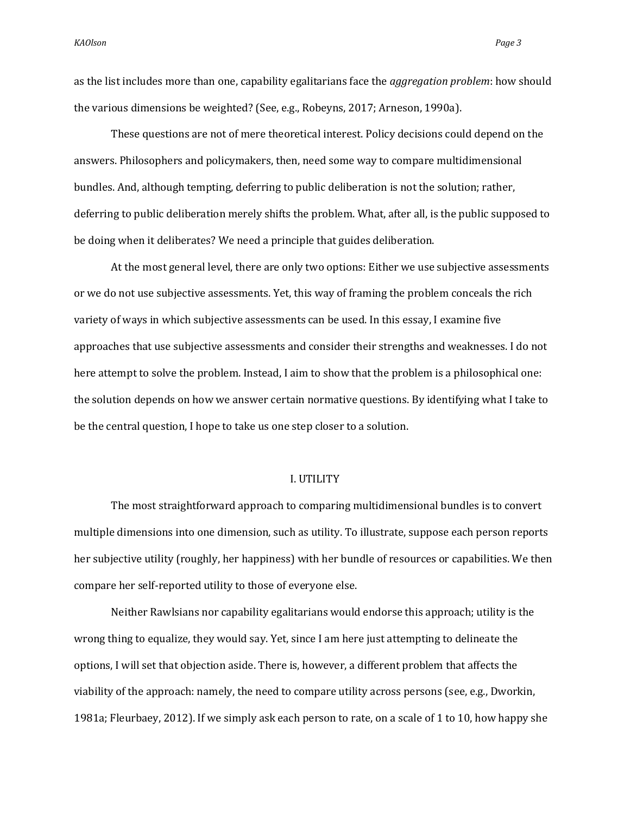as the list includes more than one, capability egalitarians face the *aggregation problem*: how should the various dimensions be weighted? (See, e.g., Robeyns, 2017; Arneson, 1990a).

These questions are not of mere theoretical interest. Policy decisions could depend on the answers. Philosophers and policymakers, then, need some way to compare multidimensional bundles. And, although tempting, deferring to public deliberation is not the solution; rather, deferring to public deliberation merely shifts the problem. What, after all, is the public supposed to be doing when it deliberates? We need a principle that guides deliberation.

At the most general level, there are only two options: Either we use subjective assessments or we do not use subjective assessments. Yet, this way of framing the problem conceals the rich variety of ways in which subjective assessments can be used. In this essay, I examine five approaches that use subjective assessments and consider their strengths and weaknesses. I do not here attempt to solve the problem. Instead, I aim to show that the problem is a philosophical one: the solution depends on how we answer certain normative questions. By identifying what I take to be the central question, I hope to take us one step closer to a solution.

### I. UTILITY

The most straightforward approach to comparing multidimensional bundles is to convert multiple dimensions into one dimension, such as utility. To illustrate, suppose each person reports her subjective utility (roughly, her happiness) with her bundle of resources or capabilities. We then compare her self-reported utility to those of everyone else.

Neither Rawlsians nor capability egalitarians would endorse this approach; utility is the wrong thing to equalize, they would say. Yet, since I am here just attempting to delineate the options, I will set that objection aside. There is, however, a different problem that affects the viability of the approach: namely, the need to compare utility across persons (see, e.g., Dworkin, 1981a; Fleurbaey, 2012). If we simply ask each person to rate, on a scale of 1 to 10, how happy she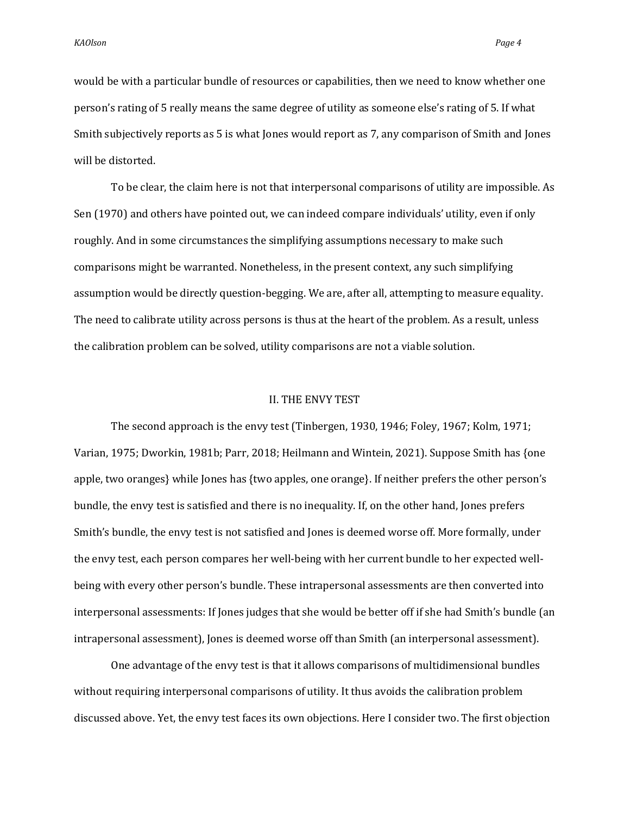would be with a particular bundle of resources or capabilities, then we need to know whether one person's rating of 5 really means the same degree of utility as someone else's rating of 5. If what Smith subjectively reports as 5 is what Jones would report as 7, any comparison of Smith and Jones will be distorted.

To be clear, the claim here is not that interpersonal comparisons of utility are impossible. As Sen (1970) and others have pointed out, we can indeed compare individuals' utility, even if only roughly. And in some circumstances the simplifying assumptions necessary to make such comparisons might be warranted. Nonetheless, in the present context, any such simplifying assumption would be directly question-begging. We are, after all, attempting to measure equality. The need to calibrate utility across persons is thus at the heart of the problem. As a result, unless the calibration problem can be solved, utility comparisons are not a viable solution.

#### II. THE ENVY TEST

The second approach is the envy test (Tinbergen, 1930, 1946; Foley, 1967; Kolm, 1971; Varian, 1975; Dworkin, 1981b; Parr, 2018; Heilmann and Wintein, 2021). Suppose Smith has {one apple, two oranges} while Jones has {two apples, one orange}. If neither prefers the other person's bundle, the envy test is satisfied and there is no inequality. If, on the other hand, Jones prefers Smith's bundle, the envy test is not satisfied and Jones is deemed worse off. More formally, under the envy test, each person compares her well-being with her current bundle to her expected wellbeing with every other person's bundle. These intrapersonal assessments are then converted into interpersonal assessments: If Jones judges that she would be better off if she had Smith's bundle (an intrapersonal assessment), Jones is deemed worse off than Smith (an interpersonal assessment).

One advantage of the envy test is that it allows comparisons of multidimensional bundles without requiring interpersonal comparisons of utility. It thus avoids the calibration problem discussed above. Yet, the envy test faces its own objections. Here I consider two. The first objection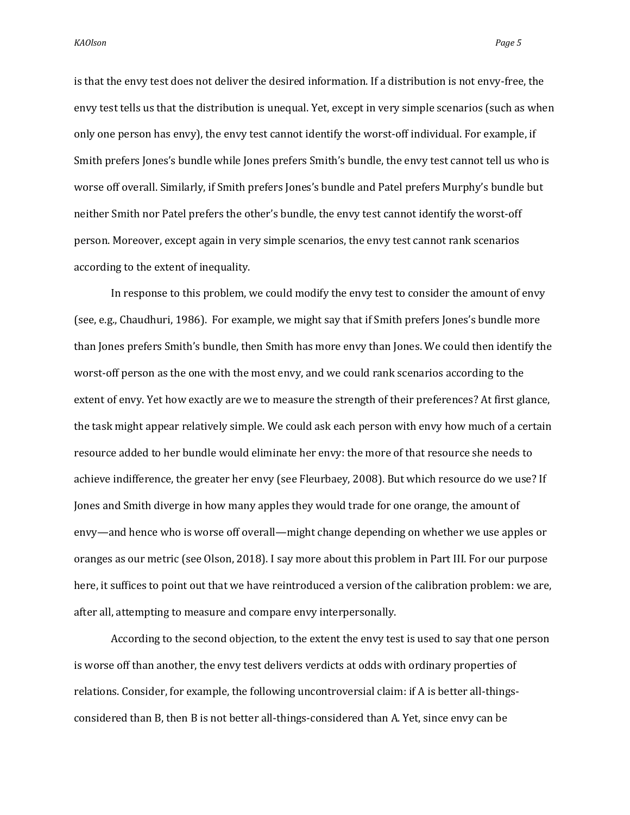is that the envy test does not deliver the desired information. If a distribution is not envy-free, the envy test tells us that the distribution is unequal. Yet, except in very simple scenarios (such as when only one person has envy), the envy test cannot identify the worst-off individual. For example, if Smith prefers Jones's bundle while Jones prefers Smith's bundle, the envy test cannot tell us who is worse off overall. Similarly, if Smith prefers Jones's bundle and Patel prefers Murphy's bundle but neither Smith nor Patel prefers the other's bundle, the envy test cannot identify the worst-off person. Moreover, except again in very simple scenarios, the envy test cannot rank scenarios according to the extent of inequality.

In response to this problem, we could modify the envy test to consider the amount of envy (see, e.g., Chaudhuri, 1986). For example, we might say that if Smith prefers Jones's bundle more than Jones prefers Smith's bundle, then Smith has more envy than Jones. We could then identify the worst-off person as the one with the most envy, and we could rank scenarios according to the extent of envy. Yet how exactly are we to measure the strength of their preferences? At first glance, the task might appear relatively simple. We could ask each person with envy how much of a certain resource added to her bundle would eliminate her envy: the more of that resource she needs to achieve indifference, the greater her envy (see Fleurbaey, 2008). But which resource do we use? If Jones and Smith diverge in how many apples they would trade for one orange, the amount of envy—and hence who is worse off overall—might change depending on whether we use apples or oranges as our metric (see Olson, 2018). I say more about this problem in Part III. For our purpose here, it suffices to point out that we have reintroduced a version of the calibration problem: we are, after all, attempting to measure and compare envy interpersonally.

According to the second objection, to the extent the envy test is used to say that one person is worse off than another, the envy test delivers verdicts at odds with ordinary properties of relations. Consider, for example, the following uncontroversial claim: if A is better all-thingsconsidered than B, then B is not better all-things-considered than A. Yet, since envy can be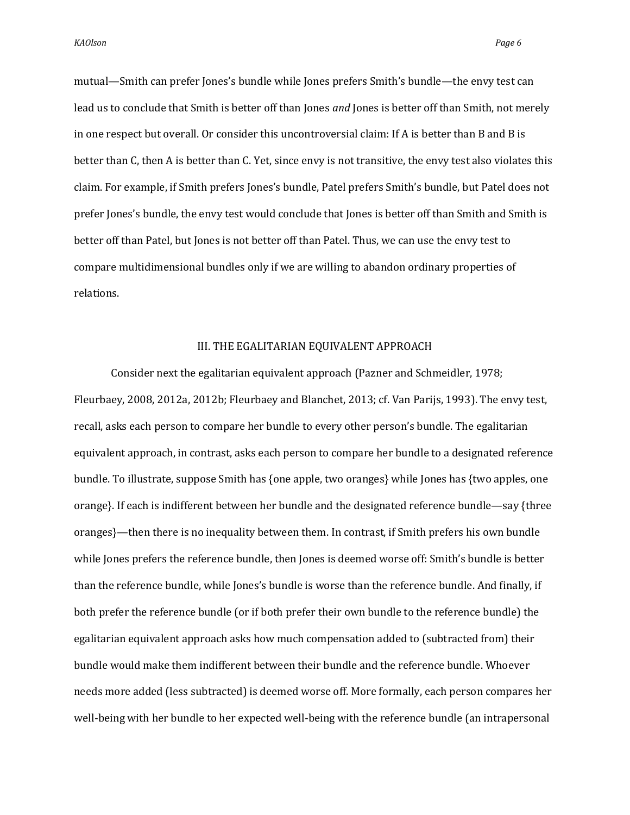mutual—Smith can prefer Jones's bundle while Jones prefers Smith's bundle—the envy test can lead us to conclude that Smith is better off than Jones *and* Jones is better off than Smith, not merely in one respect but overall. Or consider this uncontroversial claim: If A is better than B and B is better than C, then A is better than C. Yet, since envy is not transitive, the envy test also violates this claim. For example, if Smith prefers Jones's bundle, Patel prefers Smith's bundle, but Patel does not prefer Jones's bundle, the envy test would conclude that Jones is better off than Smith and Smith is better off than Patel, but Jones is not better off than Patel. Thus, we can use the envy test to compare multidimensional bundles only if we are willing to abandon ordinary properties of relations.

## III. THE EGALITARIAN EQUIVALENT APPROACH

Consider next the egalitarian equivalent approach (Pazner and Schmeidler, 1978; Fleurbaey, 2008, 2012a, 2012b; Fleurbaey and Blanchet, 2013; cf. Van Parijs, 1993). The envy test, recall, asks each person to compare her bundle to every other person's bundle. The egalitarian equivalent approach, in contrast, asks each person to compare her bundle to a designated reference bundle. To illustrate, suppose Smith has {one apple, two oranges} while Jones has {two apples, one orange}. If each is indifferent between her bundle and the designated reference bundle—say {three oranges}—then there is no inequality between them. In contrast, if Smith prefers his own bundle while Jones prefers the reference bundle, then Jones is deemed worse off: Smith's bundle is better than the reference bundle, while Jones's bundle is worse than the reference bundle. And finally, if both prefer the reference bundle (or if both prefer their own bundle to the reference bundle) the egalitarian equivalent approach asks how much compensation added to (subtracted from) their bundle would make them indifferent between their bundle and the reference bundle. Whoever needs more added (less subtracted) is deemed worse off. More formally, each person compares her well-being with her bundle to her expected well-being with the reference bundle (an intrapersonal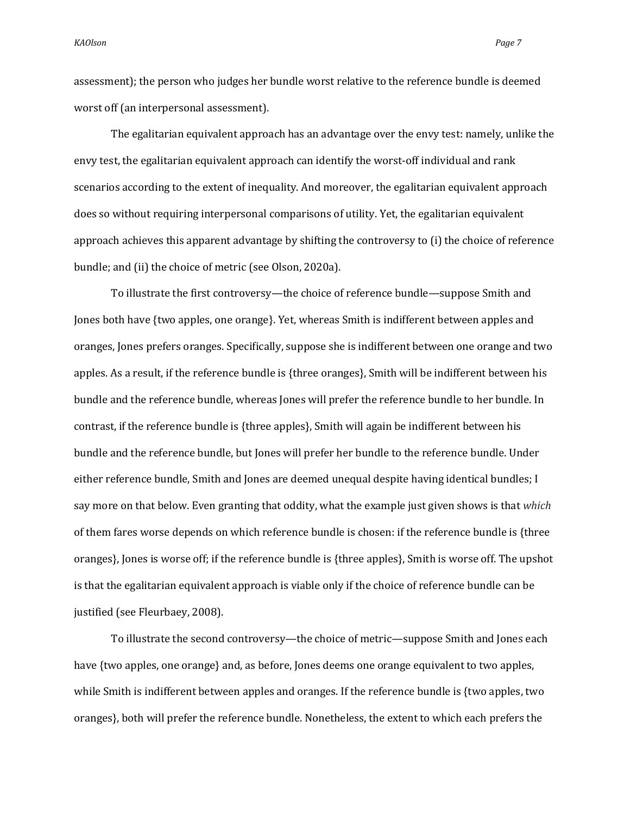assessment); the person who judges her bundle worst relative to the reference bundle is deemed worst off (an interpersonal assessment).

The egalitarian equivalent approach has an advantage over the envy test: namely, unlike the envy test, the egalitarian equivalent approach can identify the worst-off individual and rank scenarios according to the extent of inequality. And moreover, the egalitarian equivalent approach does so without requiring interpersonal comparisons of utility. Yet, the egalitarian equivalent approach achieves this apparent advantage by shifting the controversy to (i) the choice of reference bundle; and (ii) the choice of metric (see Olson, 2020a).

To illustrate the first controversy—the choice of reference bundle—suppose Smith and Jones both have {two apples, one orange}. Yet, whereas Smith is indifferent between apples and oranges, Jones prefers oranges. Specifically, suppose she is indifferent between one orange and two apples. As a result, if the reference bundle is {three oranges}, Smith will be indifferent between his bundle and the reference bundle, whereas Jones will prefer the reference bundle to her bundle. In contrast, if the reference bundle is {three apples}, Smith will again be indifferent between his bundle and the reference bundle, but Jones will prefer her bundle to the reference bundle. Under either reference bundle, Smith and Jones are deemed unequal despite having identical bundles; I say more on that below. Even granting that oddity, what the example just given shows is that *which* of them fares worse depends on which reference bundle is chosen: if the reference bundle is {three oranges}, Jones is worse off; if the reference bundle is {three apples}, Smith is worse off. The upshot is that the egalitarian equivalent approach is viable only if the choice of reference bundle can be justified (see Fleurbaey, 2008).

To illustrate the second controversy—the choice of metric—suppose Smith and Jones each have {two apples, one orange} and, as before, Jones deems one orange equivalent to two apples, while Smith is indifferent between apples and oranges. If the reference bundle is {two apples, two oranges}, both will prefer the reference bundle. Nonetheless, the extent to which each prefers the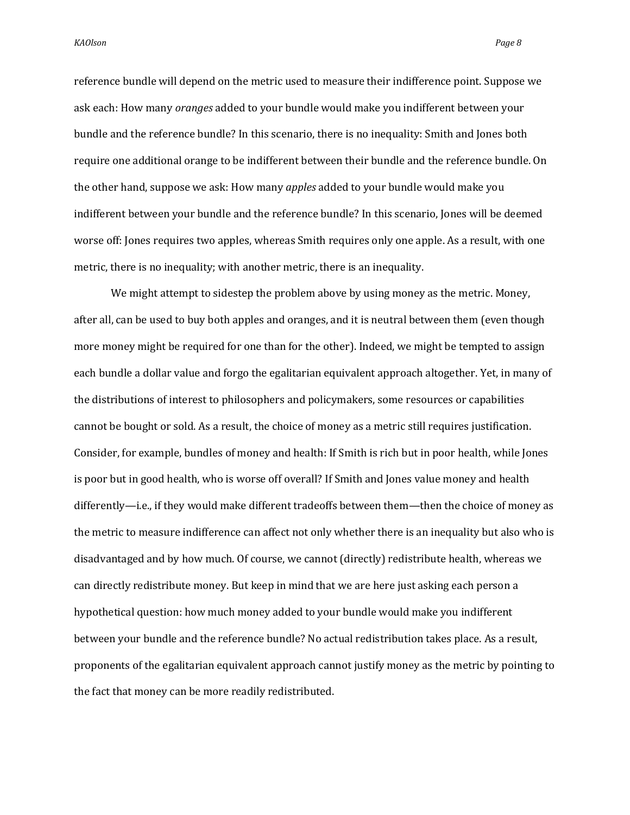reference bundle will depend on the metric used to measure their indifference point. Suppose we ask each: How many *oranges* added to your bundle would make you indifferent between your bundle and the reference bundle? In this scenario, there is no inequality: Smith and Jones both require one additional orange to be indifferent between their bundle and the reference bundle. On the other hand, suppose we ask: How many *apples* added to your bundle would make you indifferent between your bundle and the reference bundle? In this scenario, Jones will be deemed worse off: Jones requires two apples, whereas Smith requires only one apple. As a result, with one metric, there is no inequality; with another metric, there is an inequality.

We might attempt to sidestep the problem above by using money as the metric. Money, after all, can be used to buy both apples and oranges, and it is neutral between them (even though more money might be required for one than for the other). Indeed, we might be tempted to assign each bundle a dollar value and forgo the egalitarian equivalent approach altogether. Yet, in many of the distributions of interest to philosophers and policymakers, some resources or capabilities cannot be bought or sold. As a result, the choice of money as a metric still requires justification. Consider, for example, bundles of money and health: If Smith is rich but in poor health, while Jones is poor but in good health, who is worse off overall? If Smith and Jones value money and health differently—i.e., if they would make different tradeoffs between them—then the choice of money as the metric to measure indifference can affect not only whether there is an inequality but also who is disadvantaged and by how much. Of course, we cannot (directly) redistribute health, whereas we can directly redistribute money. But keep in mind that we are here just asking each person a hypothetical question: how much money added to your bundle would make you indifferent between your bundle and the reference bundle? No actual redistribution takes place. As a result, proponents of the egalitarian equivalent approach cannot justify money as the metric by pointing to the fact that money can be more readily redistributed.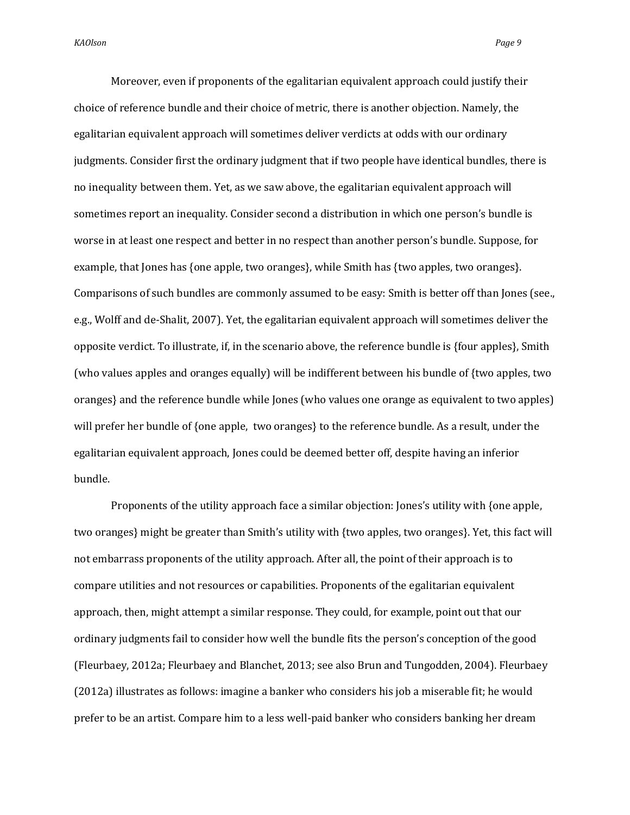Moreover, even if proponents of the egalitarian equivalent approach could justify their choice of reference bundle and their choice of metric, there is another objection. Namely, the egalitarian equivalent approach will sometimes deliver verdicts at odds with our ordinary judgments. Consider first the ordinary judgment that if two people have identical bundles, there is no inequality between them. Yet, as we saw above, the egalitarian equivalent approach will sometimes report an inequality. Consider second a distribution in which one person's bundle is worse in at least one respect and better in no respect than another person's bundle. Suppose, for example, that Jones has {one apple, two oranges}, while Smith has {two apples, two oranges}. Comparisons of such bundles are commonly assumed to be easy: Smith is better off than Jones (see., e.g., Wolff and de-Shalit, 2007). Yet, the egalitarian equivalent approach will sometimes deliver the opposite verdict. To illustrate, if, in the scenario above, the reference bundle is {four apples}, Smith (who values apples and oranges equally) will be indifferent between his bundle of {two apples, two oranges} and the reference bundle while Jones (who values one orange as equivalent to two apples) will prefer her bundle of {one apple, two oranges} to the reference bundle. As a result, under the egalitarian equivalent approach, Jones could be deemed better off, despite having an inferior bundle.

Proponents of the utility approach face a similar objection: Jones's utility with {one apple, two oranges} might be greater than Smith's utility with {two apples, two oranges}. Yet, this fact will not embarrass proponents of the utility approach. After all, the point of their approach is to compare utilities and not resources or capabilities. Proponents of the egalitarian equivalent approach, then, might attempt a similar response. They could, for example, point out that our ordinary judgments fail to consider how well the bundle fits the person's conception of the good (Fleurbaey, 2012a; Fleurbaey and Blanchet, 2013; see also Brun and Tungodden, 2004). Fleurbaey (2012a) illustrates as follows: imagine a banker who considers his job a miserable fit; he would prefer to be an artist. Compare him to a less well-paid banker who considers banking her dream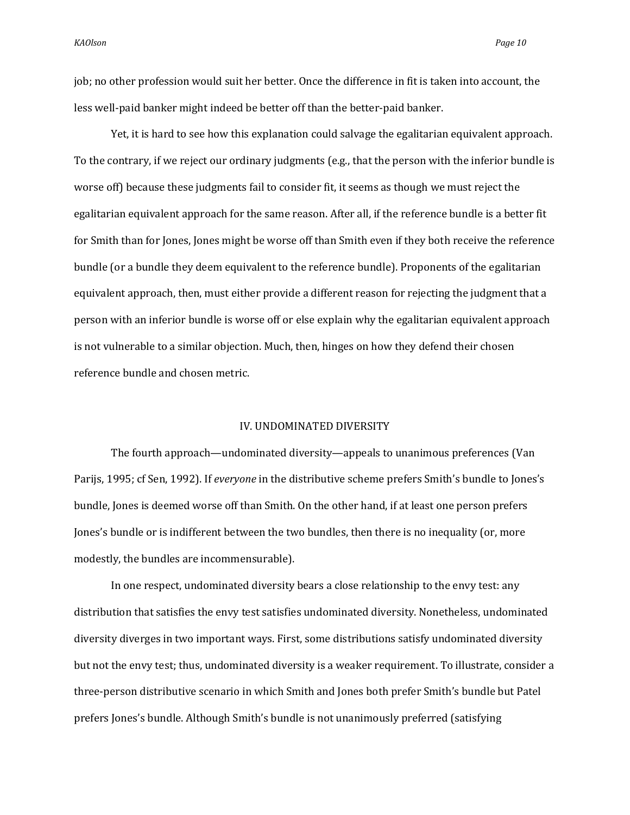job; no other profession would suit her better. Once the difference in fit is taken into account, the less well-paid banker might indeed be better off than the better-paid banker.

Yet, it is hard to see how this explanation could salvage the egalitarian equivalent approach. To the contrary, if we reject our ordinary judgments (e.g., that the person with the inferior bundle is worse off) because these judgments fail to consider fit, it seems as though we must reject the egalitarian equivalent approach for the same reason. After all, if the reference bundle is a better fit for Smith than for Jones, Jones might be worse off than Smith even if they both receive the reference bundle (or a bundle they deem equivalent to the reference bundle). Proponents of the egalitarian equivalent approach, then, must either provide a different reason for rejecting the judgment that a person with an inferior bundle is worse off or else explain why the egalitarian equivalent approach is not vulnerable to a similar objection. Much, then, hinges on how they defend their chosen reference bundle and chosen metric.

### IV. UNDOMINATED DIVERSITY

The fourth approach—undominated diversity—appeals to unanimous preferences (Van Parijs, 1995; cf Sen, 1992). If *everyone* in the distributive scheme prefers Smith's bundle to Jones's bundle, Jones is deemed worse off than Smith. On the other hand, if at least one person prefers Jones's bundle or is indifferent between the two bundles, then there is no inequality (or, more modestly, the bundles are incommensurable).

In one respect, undominated diversity bears a close relationship to the envy test: any distribution that satisfies the envy test satisfies undominated diversity. Nonetheless, undominated diversity diverges in two important ways. First, some distributions satisfy undominated diversity but not the envy test; thus, undominated diversity is a weaker requirement. To illustrate, consider a three-person distributive scenario in which Smith and Jones both prefer Smith's bundle but Patel prefers Jones's bundle. Although Smith's bundle is not unanimously preferred (satisfying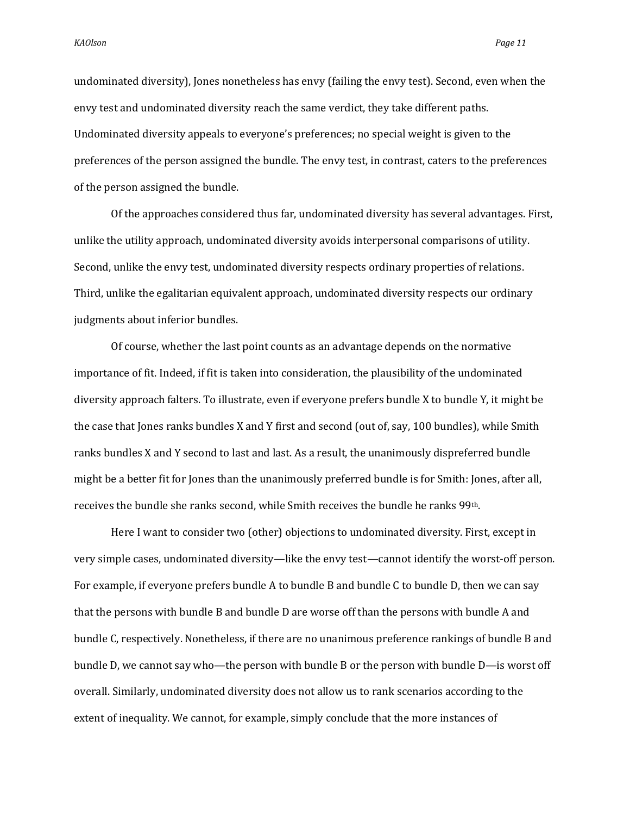undominated diversity), Jones nonetheless has envy (failing the envy test). Second, even when the envy test and undominated diversity reach the same verdict, they take different paths. Undominated diversity appeals to everyone's preferences; no special weight is given to the preferences of the person assigned the bundle. The envy test, in contrast, caters to the preferences of the person assigned the bundle.

Of the approaches considered thus far, undominated diversity has several advantages. First, unlike the utility approach, undominated diversity avoids interpersonal comparisons of utility. Second, unlike the envy test, undominated diversity respects ordinary properties of relations. Third, unlike the egalitarian equivalent approach, undominated diversity respects our ordinary judgments about inferior bundles.

Of course, whether the last point counts as an advantage depends on the normative importance of fit. Indeed, if fit is taken into consideration, the plausibility of the undominated diversity approach falters. To illustrate, even if everyone prefers bundle X to bundle Y, it might be the case that Jones ranks bundles X and Y first and second (out of, say, 100 bundles), while Smith ranks bundles X and Y second to last and last. As a result, the unanimously dispreferred bundle might be a better fit for Jones than the unanimously preferred bundle is for Smith: Jones, after all, receives the bundle she ranks second, while Smith receives the bundle he ranks 99th.

Here I want to consider two (other) objections to undominated diversity. First, except in very simple cases, undominated diversity—like the envy test—cannot identify the worst-off person. For example, if everyone prefers bundle A to bundle B and bundle C to bundle D, then we can say that the persons with bundle B and bundle D are worse off than the persons with bundle A and bundle C, respectively. Nonetheless, if there are no unanimous preference rankings of bundle B and bundle D, we cannot say who—the person with bundle B or the person with bundle D—is worst off overall. Similarly, undominated diversity does not allow us to rank scenarios according to the extent of inequality. We cannot, for example, simply conclude that the more instances of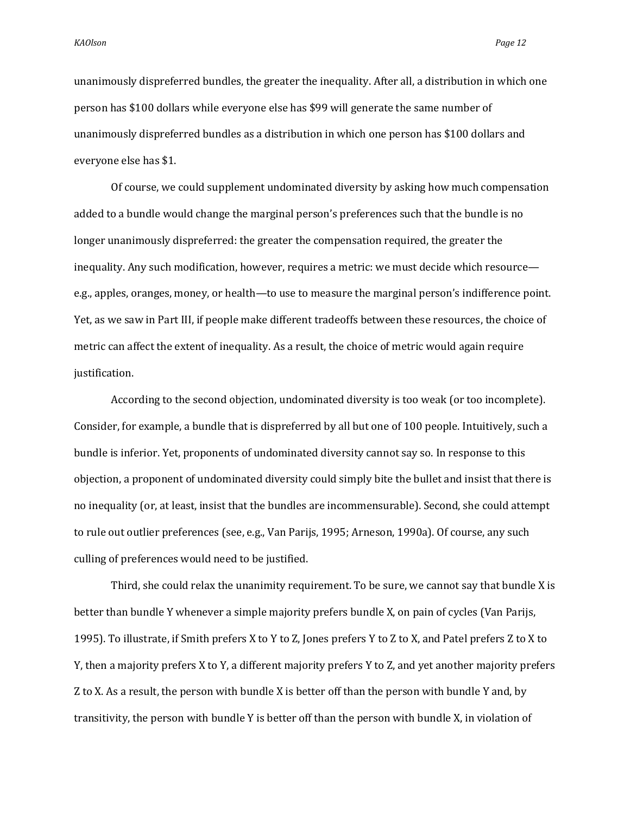unanimously dispreferred bundles, the greater the inequality. After all, a distribution in which one person has \$100 dollars while everyone else has \$99 will generate the same number of unanimously dispreferred bundles as a distribution in which one person has \$100 dollars and everyone else has \$1.

Of course, we could supplement undominated diversity by asking how much compensation added to a bundle would change the marginal person's preferences such that the bundle is no longer unanimously dispreferred: the greater the compensation required, the greater the inequality. Any such modification, however, requires a metric: we must decide which resource e.g., apples, oranges, money, or health—to use to measure the marginal person's indifference point. Yet, as we saw in Part III, if people make different tradeoffs between these resources, the choice of metric can affect the extent of inequality. As a result, the choice of metric would again require justification.

According to the second objection, undominated diversity is too weak (or too incomplete). Consider, for example, a bundle that is dispreferred by all but one of 100 people. Intuitively, such a bundle is inferior. Yet, proponents of undominated diversity cannot say so. In response to this objection, a proponent of undominated diversity could simply bite the bullet and insist that there is no inequality (or, at least, insist that the bundles are incommensurable). Second, she could attempt to rule out outlier preferences (see, e.g., Van Parijs, 1995; Arneson, 1990a). Of course, any such culling of preferences would need to be justified.

Third, she could relax the unanimity requirement. To be sure, we cannot say that bundle X is better than bundle Y whenever a simple majority prefers bundle X, on pain of cycles (Van Parijs, 1995). To illustrate, if Smith prefers X to Y to Z, Jones prefers Y to Z to X, and Patel prefers Z to X to Y, then a majority prefers X to Y, a different majority prefers Y to Z, and yet another majority prefers Z to X. As a result, the person with bundle X is better off than the person with bundle Y and, by transitivity, the person with bundle Y is better off than the person with bundle X, in violation of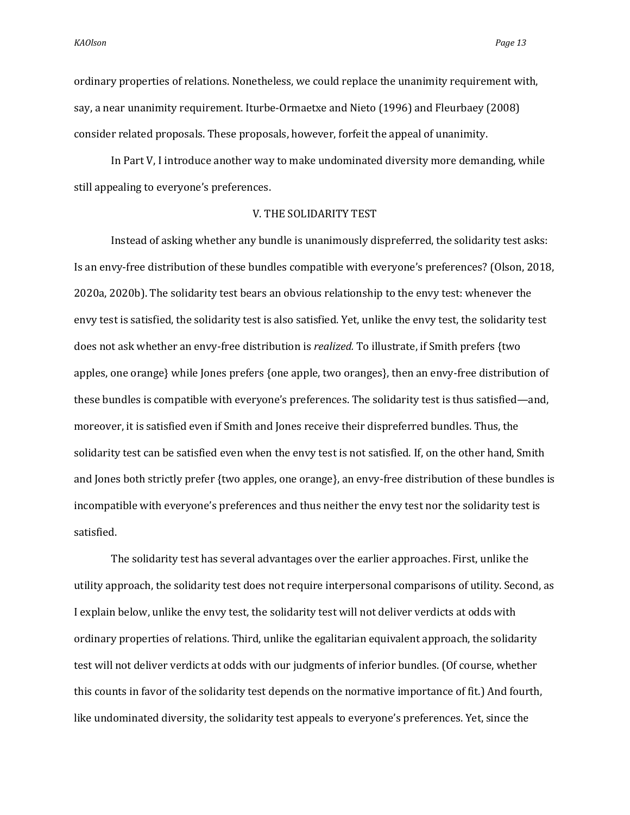ordinary properties of relations. Nonetheless, we could replace the unanimity requirement with, say, a near unanimity requirement. Iturbe-Ormaetxe and Nieto (1996) and Fleurbaey (2008) consider related proposals. These proposals, however, forfeit the appeal of unanimity.

In Part V, I introduce another way to make undominated diversity more demanding, while still appealing to everyone's preferences.

## V. THE SOLIDARITY TEST

Instead of asking whether any bundle is unanimously dispreferred, the solidarity test asks: Is an envy-free distribution of these bundles compatible with everyone's preferences? (Olson, 2018, 2020a, 2020b). The solidarity test bears an obvious relationship to the envy test: whenever the envy test is satisfied, the solidarity test is also satisfied. Yet, unlike the envy test, the solidarity test does not ask whether an envy-free distribution is *realized.* To illustrate, if Smith prefers {two apples, one orange} while Jones prefers {one apple, two oranges}, then an envy-free distribution of these bundles is compatible with everyone's preferences. The solidarity test is thus satisfied—and, moreover, it is satisfied even if Smith and Jones receive their dispreferred bundles. Thus, the solidarity test can be satisfied even when the envy test is not satisfied. If, on the other hand, Smith and Jones both strictly prefer {two apples, one orange}, an envy-free distribution of these bundles is incompatible with everyone's preferences and thus neither the envy test nor the solidarity test is satisfied.

The solidarity test has several advantages over the earlier approaches. First, unlike the utility approach, the solidarity test does not require interpersonal comparisons of utility. Second, as I explain below, unlike the envy test, the solidarity test will not deliver verdicts at odds with ordinary properties of relations. Third, unlike the egalitarian equivalent approach, the solidarity test will not deliver verdicts at odds with our judgments of inferior bundles. (Of course, whether this counts in favor of the solidarity test depends on the normative importance of fit.) And fourth, like undominated diversity, the solidarity test appeals to everyone's preferences. Yet, since the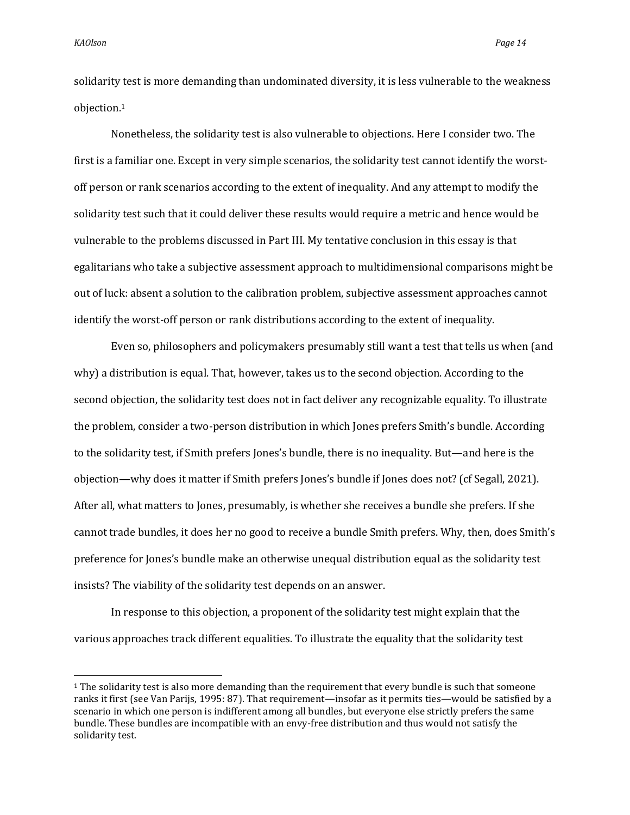$\overline{\phantom{0}}$ 

solidarity test is more demanding than undominated diversity, it is less vulnerable to the weakness objection.<sup>1</sup>

Nonetheless, the solidarity test is also vulnerable to objections. Here I consider two. The first is a familiar one. Except in very simple scenarios, the solidarity test cannot identify the worstoff person or rank scenarios according to the extent of inequality. And any attempt to modify the solidarity test such that it could deliver these results would require a metric and hence would be vulnerable to the problems discussed in Part III. My tentative conclusion in this essay is that egalitarians who take a subjective assessment approach to multidimensional comparisons might be out of luck: absent a solution to the calibration problem, subjective assessment approaches cannot identify the worst-off person or rank distributions according to the extent of inequality.

Even so, philosophers and policymakers presumably still want a test that tells us when (and why) a distribution is equal. That, however, takes us to the second objection. According to the second objection, the solidarity test does not in fact deliver any recognizable equality. To illustrate the problem, consider a two-person distribution in which Jones prefers Smith's bundle. According to the solidarity test, if Smith prefers Jones's bundle, there is no inequality. But—and here is the objection—why does it matter if Smith prefers Jones's bundle if Jones does not? (cf Segall, 2021). After all, what matters to Jones, presumably, is whether she receives a bundle she prefers. If she cannot trade bundles, it does her no good to receive a bundle Smith prefers. Why, then, does Smith's preference for Jones's bundle make an otherwise unequal distribution equal as the solidarity test insists? The viability of the solidarity test depends on an answer.

In response to this objection, a proponent of the solidarity test might explain that the various approaches track different equalities. To illustrate the equality that the solidarity test

<sup>&</sup>lt;sup>1</sup> The solidarity test is also more demanding than the requirement that every bundle is such that someone ranks it first (see Van Parijs, 1995: 87). That requirement—insofar as it permits ties—would be satisfied by a scenario in which one person is indifferent among all bundles, but everyone else strictly prefers the same bundle. These bundles are incompatible with an envy-free distribution and thus would not satisfy the solidarity test.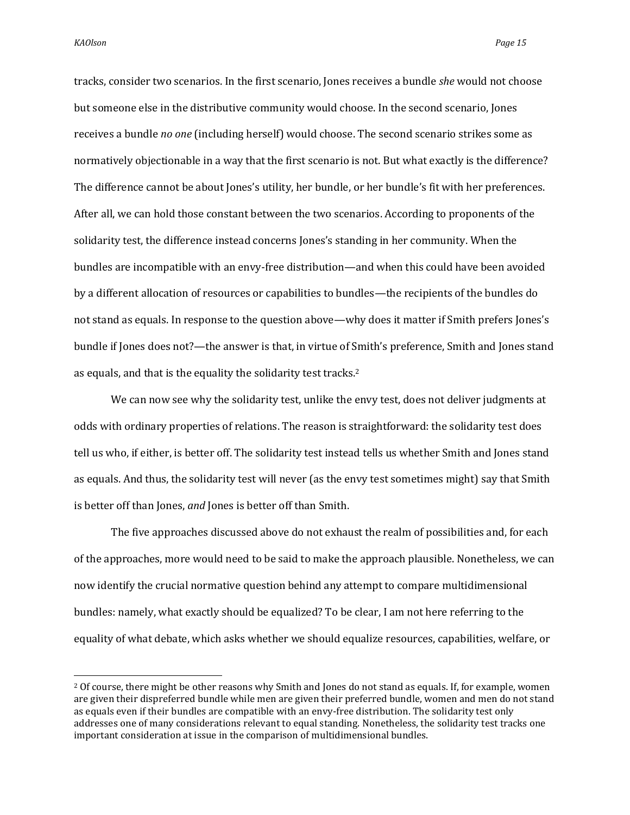$\overline{\phantom{0}}$ 

tracks, consider two scenarios. In the first scenario, Jones receives a bundle *she* would not choose but someone else in the distributive community would choose. In the second scenario, Jones receives a bundle *no one* (including herself) would choose. The second scenario strikes some as normatively objectionable in a way that the first scenario is not. But what exactly is the difference? The difference cannot be about Jones's utility, her bundle, or her bundle's fit with her preferences. After all, we can hold those constant between the two scenarios. According to proponents of the solidarity test, the difference instead concerns Jones's standing in her community. When the bundles are incompatible with an envy-free distribution—and when this could have been avoided by a different allocation of resources or capabilities to bundles—the recipients of the bundles do not stand as equals. In response to the question above—why does it matter if Smith prefers Jones's bundle if Jones does not?—the answer is that, in virtue of Smith's preference, Smith and Jones stand as equals, and that is the equality the solidarity test tracks. 2

We can now see why the solidarity test, unlike the envy test, does not deliver judgments at odds with ordinary properties of relations. The reason is straightforward: the solidarity test does tell us who, if either, is better off. The solidarity test instead tells us whether Smith and Jones stand as equals. And thus, the solidarity test will never (as the envy test sometimes might) say that Smith is better off than Jones, *and* Jones is better off than Smith.

The five approaches discussed above do not exhaust the realm of possibilities and, for each of the approaches, more would need to be said to make the approach plausible. Nonetheless, we can now identify the crucial normative question behind any attempt to compare multidimensional bundles: namely, what exactly should be equalized? To be clear, I am not here referring to the equality of what debate, which asks whether we should equalize resources, capabilities, welfare, or

<sup>2</sup> Of course, there might be other reasons why Smith and Jones do not stand as equals. If, for example, women are given their dispreferred bundle while men are given their preferred bundle, women and men do not stand as equals even if their bundles are compatible with an envy-free distribution. The solidarity test only addresses one of many considerations relevant to equal standing. Nonetheless, the solidarity test tracks one important consideration at issue in the comparison of multidimensional bundles.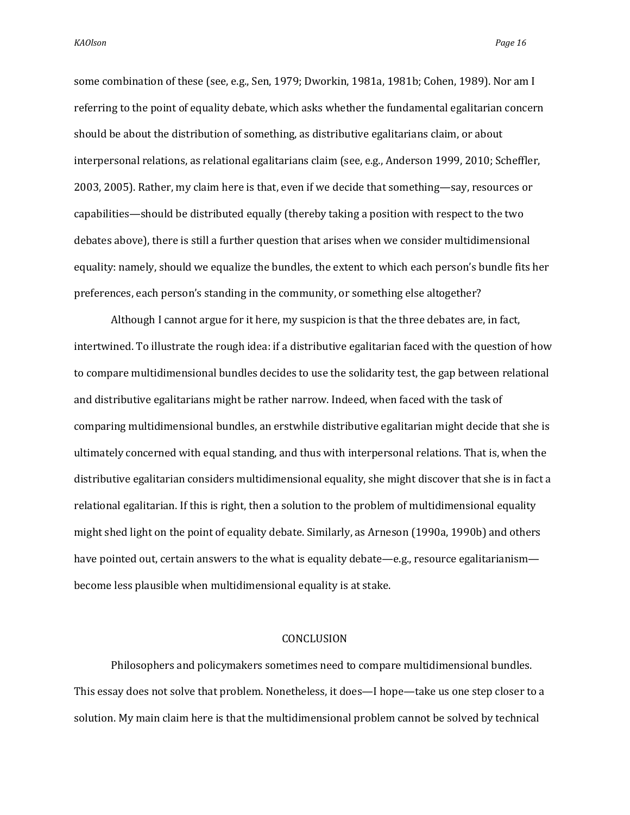some combination of these (see, e.g., Sen, 1979; Dworkin, 1981a, 1981b; Cohen, 1989). Nor am I referring to the point of equality debate, which asks whether the fundamental egalitarian concern should be about the distribution of something, as distributive egalitarians claim, or about interpersonal relations, as relational egalitarians claim (see, e.g., Anderson 1999, 2010; Scheffler, 2003, 2005). Rather, my claim here is that, even if we decide that something—say, resources or capabilities—should be distributed equally (thereby taking a position with respect to the two debates above), there is still a further question that arises when we consider multidimensional equality: namely, should we equalize the bundles, the extent to which each person's bundle fits her preferences, each person's standing in the community, or something else altogether?

Although I cannot argue for it here, my suspicion is that the three debates are, in fact, intertwined. To illustrate the rough idea: if a distributive egalitarian faced with the question of how to compare multidimensional bundles decides to use the solidarity test, the gap between relational and distributive egalitarians might be rather narrow. Indeed, when faced with the task of comparing multidimensional bundles, an erstwhile distributive egalitarian might decide that she is ultimately concerned with equal standing, and thus with interpersonal relations. That is, when the distributive egalitarian considers multidimensional equality, she might discover that she is in fact a relational egalitarian. If this is right, then a solution to the problem of multidimensional equality might shed light on the point of equality debate. Similarly, as Arneson (1990a, 1990b) and others have pointed out, certain answers to the what is equality debate—e.g., resource egalitarianism become less plausible when multidimensional equality is at stake.

## CONCLUSION

Philosophers and policymakers sometimes need to compare multidimensional bundles. This essay does not solve that problem. Nonetheless, it does—I hope—take us one step closer to a solution. My main claim here is that the multidimensional problem cannot be solved by technical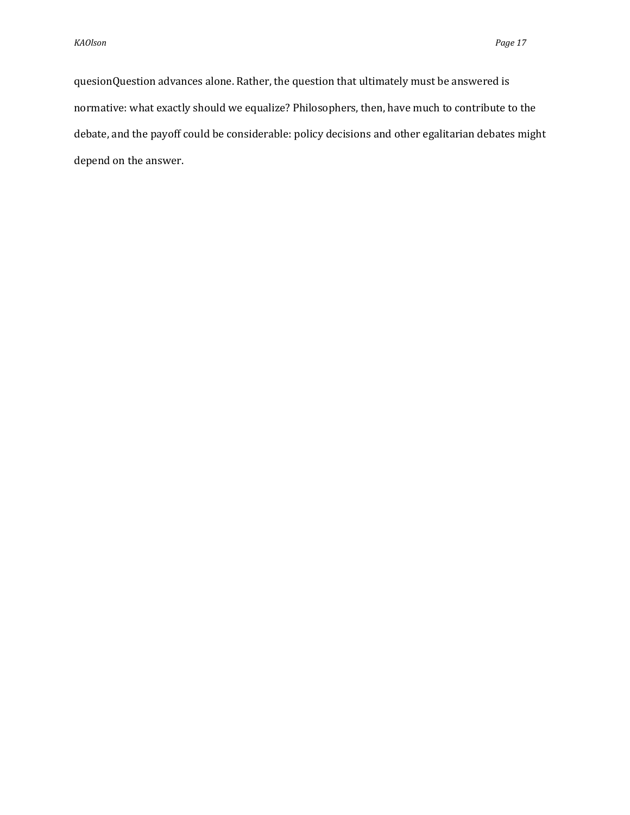quesionQuestion advances alone. Rather, the question that ultimately must be answered is normative: what exactly should we equalize? Philosophers, then, have much to contribute to the debate, and the payoff could be considerable: policy decisions and other egalitarian debates might depend on the answer.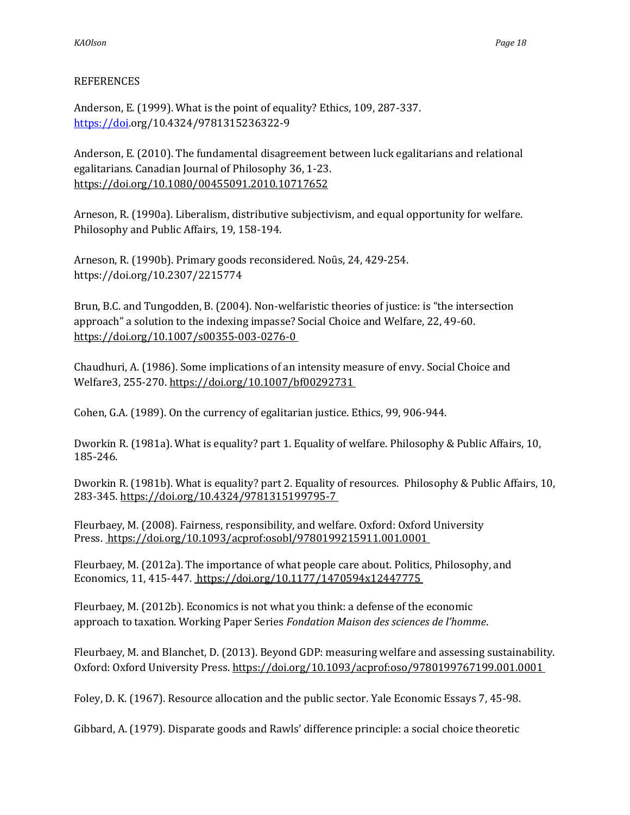## REFERENCES

Anderson, E. (1999). What is the point of equality? Ethics, 109, 287-337. [https://doi.](https://doi/)org/10.4324/9781315236322-9

Anderson, E. (2010). The fundamental disagreement between luck egalitarians and relational egalitarians. Canadian Journal of Philosophy 36, 1-23. <https://doi.org/10.1080/00455091.2010.10717652>

Arneson, R. (1990a). Liberalism, distributive subjectivism, and equal opportunity for welfare. Philosophy and Public Affairs, 19, 158-194.

Arneson, R. (1990b). Primary goods reconsidered. Noûs, 24, 429-254. <https://doi.org/10.2307/2215774>

Brun, B.C. and Tungodden, B. (2004). Non-welfaristic theories of justice: is "the intersection approach" a solution to the indexing impasse? Social Choice and Welfare, 22, 49-60. <https://doi.org/10.1007/s00355-003-0276-0>

Chaudhuri, A. (1986). Some implications of an intensity measure of envy. Social Choice and Welfare3, 255-270[. https://doi.org/10.1007/bf00292731](https://doi.org/10.1007/bf00292731 )

Cohen, G.A. (1989). On the currency of egalitarian justice. Ethics, 99, 906-944.

Dworkin R. (1981a). What is equality? part 1. Equality of welfare. Philosophy & Public Affairs, 10, 185-246.

Dworkin R. (1981b). What is equality? part 2. Equality of resources. Philosophy & Public Affairs, 10, 283-345. <https://doi.org/10.4324/9781315199795-7>

Fleurbaey, M. (2008). Fairness, responsibility, and welfare. Oxford: Oxford University Press. <https://doi.org/10.1093/acprof:osobl/9780199215911.001.0001>

Fleurbaey, M. (2012a). The importance of what people care about. Politics, Philosophy, and Economics, 11, 415-447.<https://doi.org/10.1177/1470594x12447775>

Fleurbaey, M. (2012b). Economics is not what you think: a defense of the economic approach to taxation. Working Paper Series *Fondation Maison des sciences de l'homme*.

Fleurbaey, M. and Blanchet, D. (2013). Beyond GDP: measuring welfare and assessing sustainability. Oxford: Oxford University Press. <https://doi.org/10.1093/acprof:oso/9780199767199.001.0001>

Foley, D. K. (1967). Resource allocation and the public sector. Yale Economic Essays 7, 45-98.

Gibbard, A. (1979). Disparate goods and Rawls' difference principle: a social choice theoretic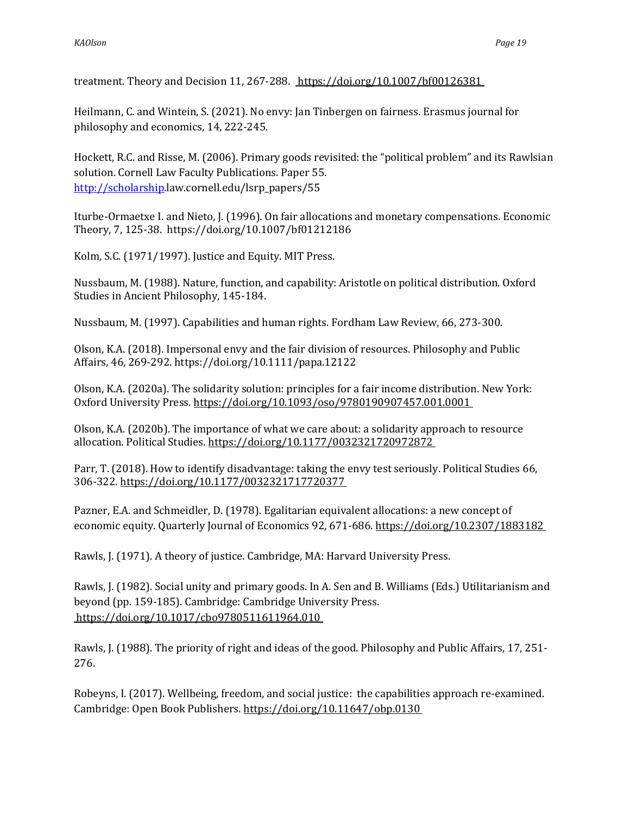treatment. Theory and Decision 11, 267-288. <https://doi.org/10.1007/bf00126381>

Heilmann, C. and Wintein, S. (2021). No envy: Jan Tinbergen on fairness. Erasmus journal for philosophy and economics, 14, 222-245.

Hockett, R.C. and Risse, M. (2006). Primary goods revisited: the "political problem" and its Rawlsian solution. Cornell Law Faculty Publications. Paper 55. [http://scholarship.](http://scholarship/)law.cornell.edu/lsrp\_papers/55

Iturbe-Ormaetxe I. and Nieto, J. (1996). On fair allocations and monetary compensations. Economic Theory, 7, 125-38.<https://doi.org/10.1007/bf01212186>

Kolm, S.C. (1971/1997). Justice and Equity. MIT Press.

Nussbaum, M. (1988). Nature, function, and capability: Aristotle on political distribution. Oxford Studies in Ancient Philosophy, 145-184.

Nussbaum, M. (1997). Capabilities and human rights. Fordham Law Review, 66, 273-300.

Olson, K.A. (2018). Impersonal envy and the fair division of resources. Philosophy and Public Affairs, 46, 269-292. <https://doi.org/10.1111/papa.12122>

Olson, K.A. (2020a). The solidarity solution: principles for a fair income distribution. New York: Oxford University Press.<https://doi.org/10.1093/oso/9780190907457.001.0001>

Olson, K.A. (2020b). The importance of what we care about: a solidarity approach to resource allocation. Political Studies[. https://doi.org/10.1177/0032321720972872](https://doi.org/10.1177/0032321720972872 )

Parr, T. (2018). How to identify disadvantage: taking the envy test seriously. Political Studies 66, 306-322.<https://doi.org/10.1177/0032321717720377>

Pazner, E.A. and Schmeidler, D. (1978). Egalitarian equivalent allocations: a new concept of economic equity. Quarterly Journal of Economics 92, 671-686. <https://doi.org/10.2307/1883182>

Rawls, J. (1971). A theory of justice. Cambridge, MA: Harvard University Press.

Rawls, J. (1982). Social unity and primary goods. In A. Sen and B. Williams (Eds.) Utilitarianism and beyond (pp. 159-185). Cambridge: Cambridge University Press. [https://doi.org/10.1017/cbo9780511611964.010](file:///C:/Users/kaolson/Desktop/kaolson/Documents/COVID%20Distributive%20Consequences/ https:/doi.org/10.1017/cbo9780511611964.010 )

Rawls, J. (1988). The priority of right and ideas of the good. Philosophy and Public Affairs, 17, 251- 276.

Robeyns, I. (2017). Wellbeing, freedom, and social justice: the capabilities approach re-examined. Cambridge: Open Book Publishers.<https://doi.org/10.11647/obp.0130>